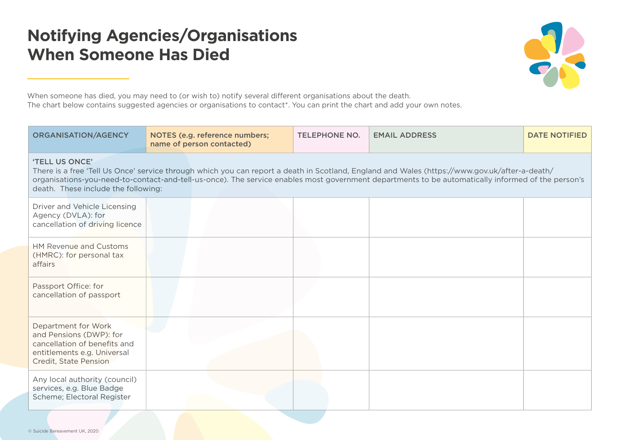## **Notifying Agencies/Organisations When Someone Has Died**



When someone has died, you may need to (or wish to) notify several different organisations about the death. The chart below contains suggested agencies or organisations to contact\*. You can print the chart and add your own notes.

| <b>ORGANISATION/AGENCY</b>                                                                                                                                                                                                                                                                                                                                  | NOTES (e.g. reference numbers;<br>name of person contacted) | <b>TELEPHONE NO.</b> | <b>EMAIL ADDRESS</b> | <b>DATE NOTIFIED</b> |
|-------------------------------------------------------------------------------------------------------------------------------------------------------------------------------------------------------------------------------------------------------------------------------------------------------------------------------------------------------------|-------------------------------------------------------------|----------------------|----------------------|----------------------|
| 'TELL US ONCE'<br>There is a free 'Tell Us Once' service through which you can report a death in Scotland, England and Wales (https://www.gov.uk/after-a-death/<br>organisations-you-need-to-contact-and-tell-us-once). The service enables most government departments to be automatically informed of the person's<br>death. These include the following: |                                                             |                      |                      |                      |
| Driver and Vehicle Licensing<br>Agency (DVLA): for<br>cancellation of driving licence                                                                                                                                                                                                                                                                       |                                                             |                      |                      |                      |
| <b>HM Revenue and Customs</b><br>(HMRC): for personal tax<br>affairs                                                                                                                                                                                                                                                                                        |                                                             |                      |                      |                      |
| Passport Office: for<br>cancellation of passport                                                                                                                                                                                                                                                                                                            |                                                             |                      |                      |                      |
| Department for Work<br>and Pensions (DWP): for<br>cancellation of benefits and<br>entitlements e.g. Universal<br>Credit, State Pension                                                                                                                                                                                                                      |                                                             |                      |                      |                      |
| Any local authority (council)<br>services, e.g. Blue Badge<br>Scheme; Electoral Register                                                                                                                                                                                                                                                                    |                                                             |                      |                      |                      |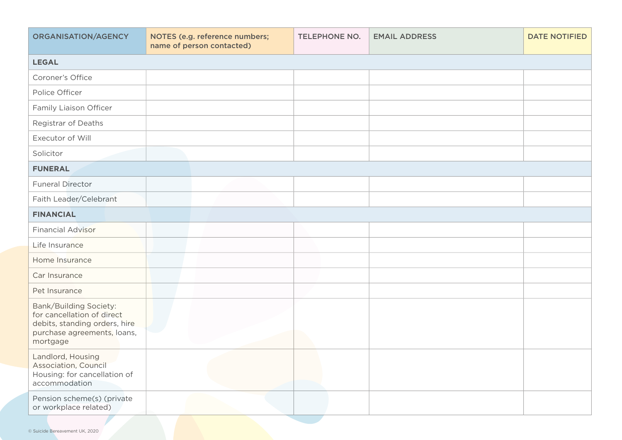| ORGANISATION/AGENCY                                                                                                              | NOTES (e.g. reference numbers;<br>name of person contacted) | <b>TELEPHONE NO.</b> | <b>EMAIL ADDRESS</b> | <b>DATE NOTIFIED</b> |
|----------------------------------------------------------------------------------------------------------------------------------|-------------------------------------------------------------|----------------------|----------------------|----------------------|
| <b>LEGAL</b>                                                                                                                     |                                                             |                      |                      |                      |
| Coroner's Office                                                                                                                 |                                                             |                      |                      |                      |
| Police Officer                                                                                                                   |                                                             |                      |                      |                      |
| Family Liaison Officer                                                                                                           |                                                             |                      |                      |                      |
| Registrar of Deaths                                                                                                              |                                                             |                      |                      |                      |
| Executor of Will                                                                                                                 |                                                             |                      |                      |                      |
| Solicitor                                                                                                                        |                                                             |                      |                      |                      |
| <b>FUNERAL</b>                                                                                                                   |                                                             |                      |                      |                      |
| <b>Funeral Director</b>                                                                                                          |                                                             |                      |                      |                      |
| Faith Leader/Celebrant                                                                                                           |                                                             |                      |                      |                      |
| <b>FINANCIAL</b>                                                                                                                 |                                                             |                      |                      |                      |
| <b>Financial Advisor</b>                                                                                                         |                                                             |                      |                      |                      |
| Life Insurance                                                                                                                   |                                                             |                      |                      |                      |
| Home Insurance                                                                                                                   |                                                             |                      |                      |                      |
| Car Insurance                                                                                                                    |                                                             |                      |                      |                      |
| Pet Insurance                                                                                                                    |                                                             |                      |                      |                      |
| Bank/Building Society:<br>for cancellation of direct<br>debits, standing orders, hire<br>purchase agreements, loans,<br>mortgage |                                                             |                      |                      |                      |
| Landlord, Housing<br>Association, Council<br>Housing: for cancellation of<br>accommodation                                       |                                                             |                      |                      |                      |
| Pension scheme(s) (private<br>or workplace related)                                                                              |                                                             |                      |                      |                      |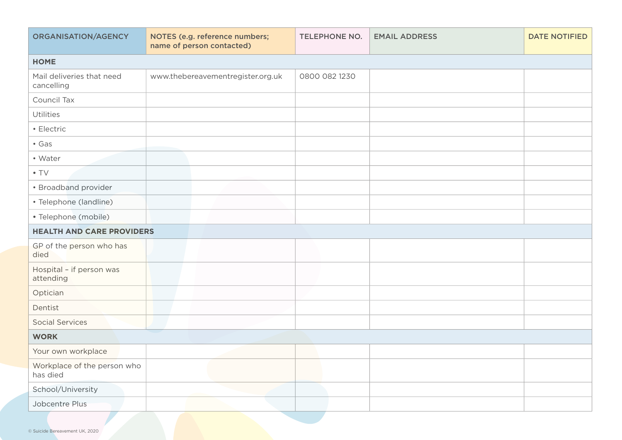| ORGANISATION/AGENCY                     | NOTES (e.g. reference numbers;<br>name of person contacted) | <b>TELEPHONE NO.</b> | <b>EMAIL ADDRESS</b> | <b>DATE NOTIFIED</b> |
|-----------------------------------------|-------------------------------------------------------------|----------------------|----------------------|----------------------|
| <b>HOME</b>                             |                                                             |                      |                      |                      |
| Mail deliveries that need<br>cancelling | www.thebereavementregister.org.uk                           | 0800 082 1230        |                      |                      |
| Council Tax                             |                                                             |                      |                      |                      |
| Utilities                               |                                                             |                      |                      |                      |
| • Electric                              |                                                             |                      |                      |                      |
| $\cdot$ Gas                             |                                                             |                      |                      |                      |
| • Water                                 |                                                             |                      |                      |                      |
| $\bullet$ TV                            |                                                             |                      |                      |                      |
| • Broadband provider                    |                                                             |                      |                      |                      |
| • Telephone (landline)                  |                                                             |                      |                      |                      |
| · Telephone (mobile)                    |                                                             |                      |                      |                      |
| <b>HEALTH AND CARE PROVIDERS</b>        |                                                             |                      |                      |                      |
| GP of the person who has<br>died        |                                                             |                      |                      |                      |
| Hospital - if person was<br>attending   |                                                             |                      |                      |                      |
| Optician                                |                                                             |                      |                      |                      |
| Dentist                                 |                                                             |                      |                      |                      |
| <b>Social Services</b>                  |                                                             |                      |                      |                      |
| <b>WORK</b>                             |                                                             |                      |                      |                      |
| Your own workplace                      |                                                             |                      |                      |                      |
| Workplace of the person who<br>has died |                                                             |                      |                      |                      |
| School/University                       |                                                             |                      |                      |                      |
| Jobcentre Plus                          |                                                             |                      |                      |                      |